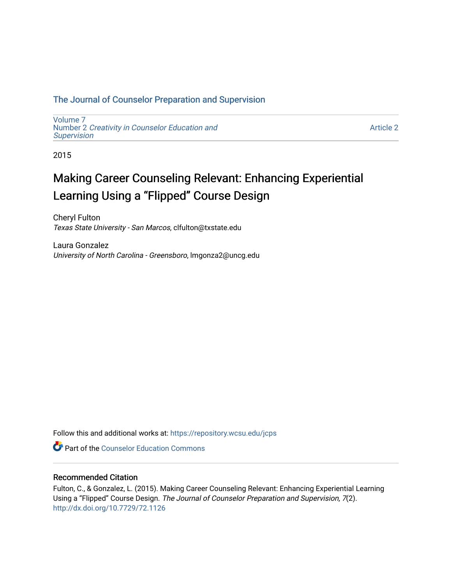# [The Journal of Counselor Preparation and Supervision](https://repository.wcsu.edu/jcps)

[Volume 7](https://repository.wcsu.edu/jcps/vol7)  Number 2 [Creativity in Counselor Education and](https://repository.wcsu.edu/jcps/vol7/iss2) **[Supervision](https://repository.wcsu.edu/jcps/vol7/iss2)** 

[Article 2](https://repository.wcsu.edu/jcps/vol7/iss2/2) 

2015

# Making Career Counseling Relevant: Enhancing Experiential Learning Using a "Flipped" Course Design

Cheryl Fulton Texas State University - San Marcos, clfulton@txstate.edu

Laura Gonzalez University of North Carolina - Greensboro, lmgonza2@uncg.edu

Follow this and additional works at: [https://repository.wcsu.edu/jcps](https://repository.wcsu.edu/jcps?utm_source=repository.wcsu.edu%2Fjcps%2Fvol7%2Fiss2%2F2&utm_medium=PDF&utm_campaign=PDFCoverPages) 

**C** Part of the Counselor Education Commons

### Recommended Citation

Fulton, C., & Gonzalez, L. (2015). Making Career Counseling Relevant: Enhancing Experiential Learning Using a "Flipped" Course Design. The Journal of Counselor Preparation and Supervision, 7(2). <http://dx.doi.org/10.7729/72.1126>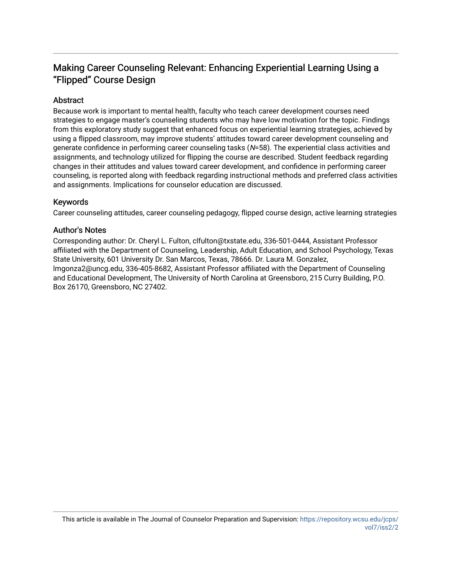# Making Career Counseling Relevant: Enhancing Experiential Learning Using a "Flipped" Course Design

# **Abstract**

Because work is important to mental health, faculty who teach career development courses need strategies to engage master's counseling students who may have low motivation for the topic. Findings from this exploratory study suggest that enhanced focus on experiential learning strategies, achieved by using a flipped classroom, may improve students' attitudes toward career development counseling and generate confidence in performing career counseling tasks (N=58). The experiential class activities and assignments, and technology utilized for flipping the course are described. Student feedback regarding changes in their attitudes and values toward career development, and confidence in performing career counseling, is reported along with feedback regarding instructional methods and preferred class activities and assignments. Implications for counselor education are discussed.

# Keywords

Career counseling attitudes, career counseling pedagogy, flipped course design, active learning strategies

# Author's Notes

Corresponding author: Dr. Cheryl L. Fulton, clfulton@txstate.edu, 336-501-0444, Assistant Professor affiliated with the Department of Counseling, Leadership, Adult Education, and School Psychology, Texas State University, 601 University Dr. San Marcos, Texas, 78666. Dr. Laura M. Gonzalez, lmgonza2@uncg.edu, 336-405-8682, Assistant Professor affiliated with the Department of Counseling and Educational Development, The University of North Carolina at Greensboro, 215 Curry Building, P.O. Box 26170, Greensboro, NC 27402.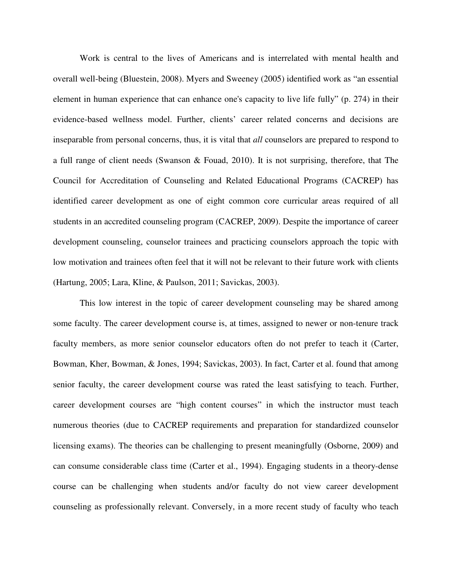Work is central to the lives of Americans and is interrelated with mental health and overall well-being (Bluestein, 2008). Myers and Sweeney (2005) identified work as "an essential element in human experience that can enhance one's capacity to live life fully" (p. 274) in their evidence-based wellness model. Further, clients' career related concerns and decisions are inseparable from personal concerns, thus, it is vital that *all* counselors are prepared to respond to a full range of client needs (Swanson & Fouad, 2010). It is not surprising, therefore, that The Council for Accreditation of Counseling and Related Educational Programs (CACREP) has identified career development as one of eight common core curricular areas required of all students in an accredited counseling program (CACREP, 2009). Despite the importance of career development counseling, counselor trainees and practicing counselors approach the topic with low motivation and trainees often feel that it will not be relevant to their future work with clients (Hartung, 2005; Lara, Kline, & Paulson, 2011; Savickas, 2003).

This low interest in the topic of career development counseling may be shared among some faculty. The career development course is, at times, assigned to newer or non-tenure track faculty members, as more senior counselor educators often do not prefer to teach it (Carter, Bowman, Kher, Bowman, & Jones, 1994; Savickas, 2003). In fact, Carter et al. found that among senior faculty, the career development course was rated the least satisfying to teach. Further, career development courses are "high content courses" in which the instructor must teach numerous theories (due to CACREP requirements and preparation for standardized counselor licensing exams). The theories can be challenging to present meaningfully (Osborne, 2009) and can consume considerable class time (Carter et al., 1994). Engaging students in a theory-dense course can be challenging when students and/or faculty do not view career development counseling as professionally relevant. Conversely, in a more recent study of faculty who teach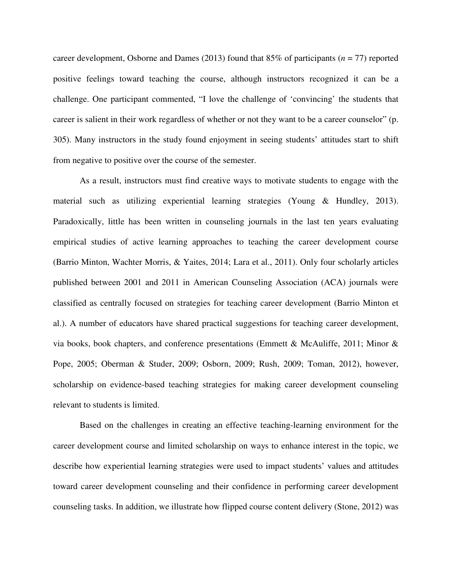career development, Osborne and Dames (2013) found that 85% of participants (*n* = 77) reported positive feelings toward teaching the course, although instructors recognized it can be a challenge. One participant commented, "I love the challenge of 'convincing' the students that career is salient in their work regardless of whether or not they want to be a career counselor" (p. 305). Many instructors in the study found enjoyment in seeing students' attitudes start to shift from negative to positive over the course of the semester.

As a result, instructors must find creative ways to motivate students to engage with the material such as utilizing experiential learning strategies (Young & Hundley, 2013). Paradoxically, little has been written in counseling journals in the last ten years evaluating empirical studies of active learning approaches to teaching the career development course (Barrio Minton, Wachter Morris, & Yaites, 2014; Lara et al., 2011). Only four scholarly articles published between 2001 and 2011 in American Counseling Association (ACA) journals were classified as centrally focused on strategies for teaching career development (Barrio Minton et al.). A number of educators have shared practical suggestions for teaching career development, via books, book chapters, and conference presentations (Emmett & McAuliffe, 2011; Minor  $\&$ Pope, 2005; Oberman & Studer, 2009; Osborn, 2009; Rush, 2009; Toman, 2012), however, scholarship on evidence-based teaching strategies for making career development counseling relevant to students is limited.

Based on the challenges in creating an effective teaching-learning environment for the career development course and limited scholarship on ways to enhance interest in the topic, we describe how experiential learning strategies were used to impact students' values and attitudes toward career development counseling and their confidence in performing career development counseling tasks. In addition, we illustrate how flipped course content delivery (Stone, 2012) was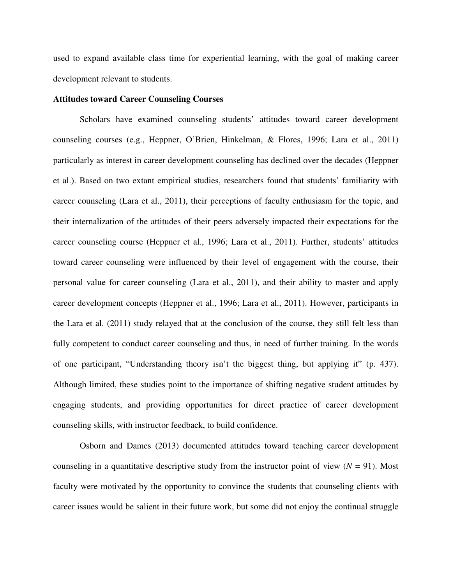used to expand available class time for experiential learning, with the goal of making career development relevant to students.

#### **Attitudes toward Career Counseling Courses**

Scholars have examined counseling students' attitudes toward career development counseling courses (e.g., Heppner, O'Brien, Hinkelman, & Flores, 1996; Lara et al., 2011) particularly as interest in career development counseling has declined over the decades (Heppner et al.). Based on two extant empirical studies, researchers found that students' familiarity with career counseling (Lara et al., 2011), their perceptions of faculty enthusiasm for the topic, and their internalization of the attitudes of their peers adversely impacted their expectations for the career counseling course (Heppner et al., 1996; Lara et al., 2011). Further, students' attitudes toward career counseling were influenced by their level of engagement with the course, their personal value for career counseling (Lara et al., 2011), and their ability to master and apply career development concepts (Heppner et al., 1996; Lara et al., 2011). However, participants in the Lara et al. (2011) study relayed that at the conclusion of the course, they still felt less than fully competent to conduct career counseling and thus, in need of further training. In the words of one participant, "Understanding theory isn't the biggest thing, but applying it" (p. 437). Although limited, these studies point to the importance of shifting negative student attitudes by engaging students, and providing opportunities for direct practice of career development counseling skills, with instructor feedback, to build confidence.

Osborn and Dames (2013) documented attitudes toward teaching career development counseling in a quantitative descriptive study from the instructor point of view  $(N = 91)$ . Most faculty were motivated by the opportunity to convince the students that counseling clients with career issues would be salient in their future work, but some did not enjoy the continual struggle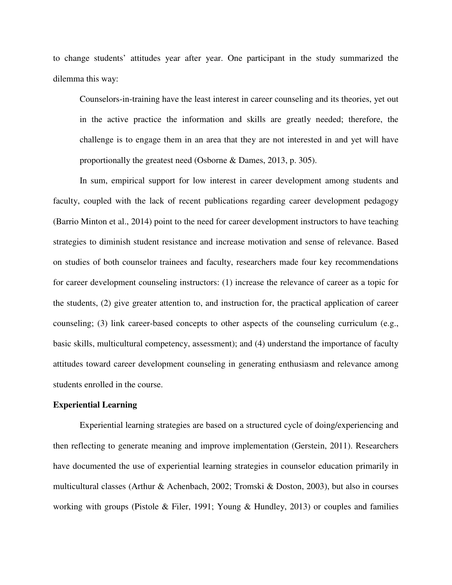to change students' attitudes year after year. One participant in the study summarized the dilemma this way:

Counselors-in-training have the least interest in career counseling and its theories, yet out in the active practice the information and skills are greatly needed; therefore, the challenge is to engage them in an area that they are not interested in and yet will have proportionally the greatest need (Osborne & Dames, 2013, p. 305).

In sum, empirical support for low interest in career development among students and faculty, coupled with the lack of recent publications regarding career development pedagogy (Barrio Minton et al., 2014) point to the need for career development instructors to have teaching strategies to diminish student resistance and increase motivation and sense of relevance. Based on studies of both counselor trainees and faculty, researchers made four key recommendations for career development counseling instructors: (1) increase the relevance of career as a topic for the students, (2) give greater attention to, and instruction for, the practical application of career counseling; (3) link career-based concepts to other aspects of the counseling curriculum (e.g., basic skills, multicultural competency, assessment); and (4) understand the importance of faculty attitudes toward career development counseling in generating enthusiasm and relevance among students enrolled in the course.

#### **Experiential Learning**

Experiential learning strategies are based on a structured cycle of doing/experiencing and then reflecting to generate meaning and improve implementation (Gerstein, 2011). Researchers have documented the use of experiential learning strategies in counselor education primarily in multicultural classes (Arthur & Achenbach, 2002; Tromski & Doston, 2003), but also in courses working with groups (Pistole & Filer, 1991; Young & Hundley, 2013) or couples and families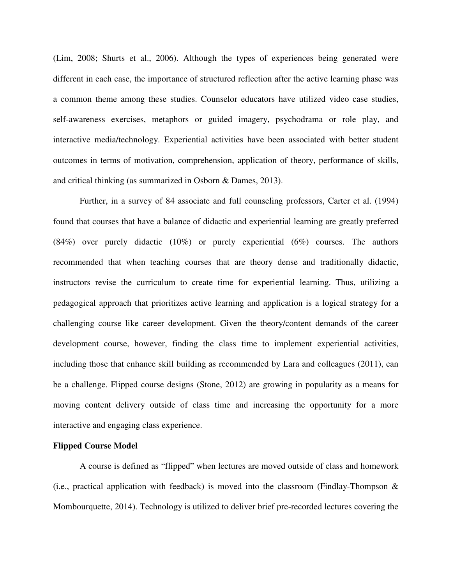(Lim, 2008; Shurts et al., 2006). Although the types of experiences being generated were different in each case, the importance of structured reflection after the active learning phase was a common theme among these studies. Counselor educators have utilized video case studies, self-awareness exercises, metaphors or guided imagery, psychodrama or role play, and interactive media/technology. Experiential activities have been associated with better student outcomes in terms of motivation, comprehension, application of theory, performance of skills, and critical thinking (as summarized in Osborn & Dames, 2013).

Further, in a survey of 84 associate and full counseling professors, Carter et al. (1994) found that courses that have a balance of didactic and experiential learning are greatly preferred (84%) over purely didactic (10%) or purely experiential (6%) courses. The authors recommended that when teaching courses that are theory dense and traditionally didactic, instructors revise the curriculum to create time for experiential learning. Thus, utilizing a pedagogical approach that prioritizes active learning and application is a logical strategy for a challenging course like career development. Given the theory/content demands of the career development course, however, finding the class time to implement experiential activities, including those that enhance skill building as recommended by Lara and colleagues (2011), can be a challenge. Flipped course designs (Stone, 2012) are growing in popularity as a means for moving content delivery outside of class time and increasing the opportunity for a more interactive and engaging class experience.

#### **Flipped Course Model**

A course is defined as "flipped" when lectures are moved outside of class and homework (i.e., practical application with feedback) is moved into the classroom (Findlay-Thompson  $\&$ Mombourquette, 2014). Technology is utilized to deliver brief pre-recorded lectures covering the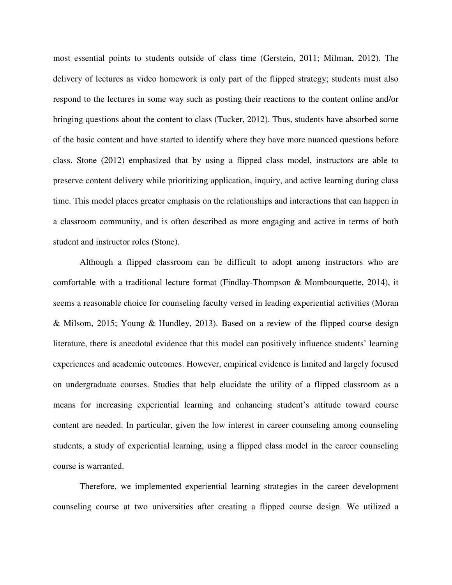most essential points to students outside of class time (Gerstein, 2011; Milman, 2012). The delivery of lectures as video homework is only part of the flipped strategy; students must also respond to the lectures in some way such as posting their reactions to the content online and/or bringing questions about the content to class (Tucker, 2012). Thus, students have absorbed some of the basic content and have started to identify where they have more nuanced questions before class. Stone (2012) emphasized that by using a flipped class model, instructors are able to preserve content delivery while prioritizing application, inquiry, and active learning during class time. This model places greater emphasis on the relationships and interactions that can happen in a classroom community, and is often described as more engaging and active in terms of both student and instructor roles (Stone).

Although a flipped classroom can be difficult to adopt among instructors who are comfortable with a traditional lecture format (Findlay-Thompson & Mombourquette, 2014), it seems a reasonable choice for counseling faculty versed in leading experiential activities (Moran & Milsom, 2015; Young & Hundley, 2013). Based on a review of the flipped course design literature, there is anecdotal evidence that this model can positively influence students' learning experiences and academic outcomes. However, empirical evidence is limited and largely focused on undergraduate courses. Studies that help elucidate the utility of a flipped classroom as a means for increasing experiential learning and enhancing student's attitude toward course content are needed. In particular, given the low interest in career counseling among counseling students, a study of experiential learning, using a flipped class model in the career counseling course is warranted.

Therefore, we implemented experiential learning strategies in the career development counseling course at two universities after creating a flipped course design. We utilized a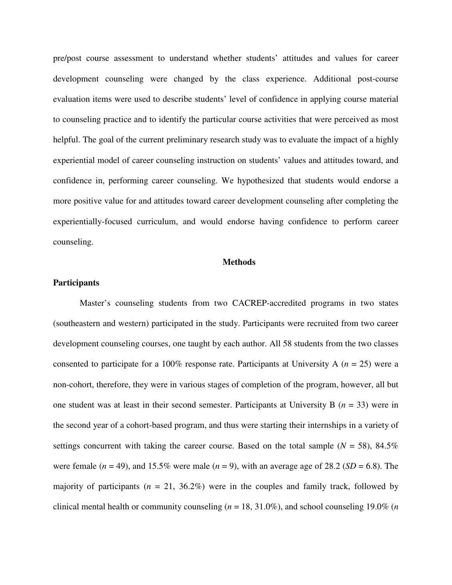pre/post course assessment to understand whether students' attitudes and values for career development counseling were changed by the class experience. Additional post-course evaluation items were used to describe students' level of confidence in applying course material to counseling practice and to identify the particular course activities that were perceived as most helpful. The goal of the current preliminary research study was to evaluate the impact of a highly experiential model of career counseling instruction on students' values and attitudes toward, and confidence in, performing career counseling. We hypothesized that students would endorse a more positive value for and attitudes toward career development counseling after completing the experientially-focused curriculum, and would endorse having confidence to perform career counseling.

#### **Methods**

#### **Participants**

Master's counseling students from two CACREP-accredited programs in two states (southeastern and western) participated in the study. Participants were recruited from two career development counseling courses, one taught by each author. All 58 students from the two classes consented to participate for a 100% response rate. Participants at University A (*n* = 25) were a non-cohort, therefore, they were in various stages of completion of the program, however, all but one student was at least in their second semester. Participants at University B (*n* = 33) were in the second year of a cohort-based program, and thus were starting their internships in a variety of settings concurrent with taking the career course. Based on the total sample  $(N = 58)$ , 84.5% were female  $(n = 49)$ , and 15.5% were male  $(n = 9)$ , with an average age of 28.2 (*SD* = 6.8). The majority of participants  $(n = 21, 36.2\%)$  were in the couples and family track, followed by clinical mental health or community counseling (*n* = 18, 31.0%), and school counseling 19.0% (*n*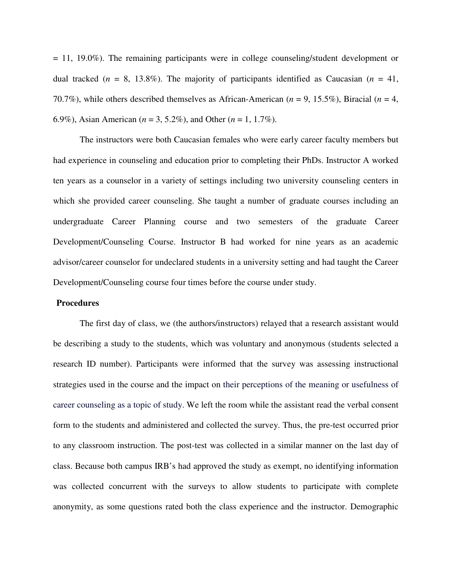$= 11, 19.0\%$ ). The remaining participants were in college counseling/student development or dual tracked  $(n = 8, 13.8\%)$ . The majority of participants identified as Caucasian  $(n = 41,$ 70.7%), while others described themselves as African-American (*n* = 9, 15.5%), Biracial (*n* = 4, 6.9%), Asian American (*n* = 3, 5.2%), and Other (*n* = 1, 1.7%).

The instructors were both Caucasian females who were early career faculty members but had experience in counseling and education prior to completing their PhDs. Instructor A worked ten years as a counselor in a variety of settings including two university counseling centers in which she provided career counseling. She taught a number of graduate courses including an undergraduate Career Planning course and two semesters of the graduate Career Development/Counseling Course. Instructor B had worked for nine years as an academic advisor/career counselor for undeclared students in a university setting and had taught the Career Development/Counseling course four times before the course under study.

#### **Procedures**

The first day of class, we (the authors/instructors) relayed that a research assistant would be describing a study to the students, which was voluntary and anonymous (students selected a research ID number). Participants were informed that the survey was assessing instructional strategies used in the course and the impact on their perceptions of the meaning or usefulness of career counseling as a topic of study. We left the room while the assistant read the verbal consent form to the students and administered and collected the survey. Thus, the pre-test occurred prior to any classroom instruction. The post-test was collected in a similar manner on the last day of class. Because both campus IRB's had approved the study as exempt, no identifying information was collected concurrent with the surveys to allow students to participate with complete anonymity, as some questions rated both the class experience and the instructor. Demographic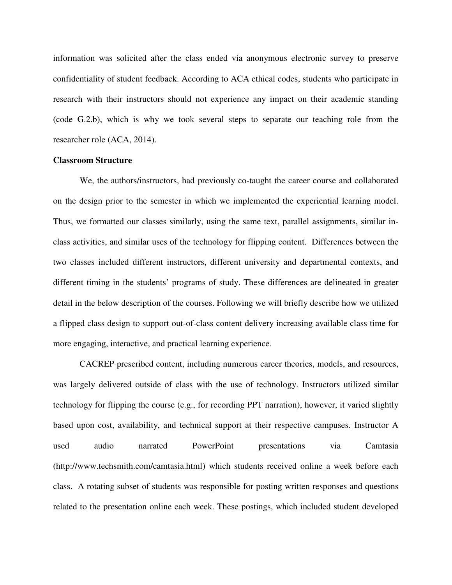information was solicited after the class ended via anonymous electronic survey to preserve confidentiality of student feedback. According to ACA ethical codes, students who participate in research with their instructors should not experience any impact on their academic standing (code G.2.b), which is why we took several steps to separate our teaching role from the researcher role (ACA, 2014).

#### **Classroom Structure**

 We, the authors/instructors, had previously co-taught the career course and collaborated on the design prior to the semester in which we implemented the experiential learning model. Thus, we formatted our classes similarly, using the same text, parallel assignments, similar inclass activities, and similar uses of the technology for flipping content. Differences between the two classes included different instructors, different university and departmental contexts, and different timing in the students' programs of study. These differences are delineated in greater detail in the below description of the courses. Following we will briefly describe how we utilized a flipped class design to support out-of-class content delivery increasing available class time for more engaging, interactive, and practical learning experience.

CACREP prescribed content, including numerous career theories, models, and resources, was largely delivered outside of class with the use of technology. Instructors utilized similar technology for flipping the course (e.g., for recording PPT narration), however, it varied slightly based upon cost, availability, and technical support at their respective campuses. Instructor A used audio narrated PowerPoint presentations via Camtasia (http://www.techsmith.com/camtasia.html) which students received online a week before each class. A rotating subset of students was responsible for posting written responses and questions related to the presentation online each week. These postings, which included student developed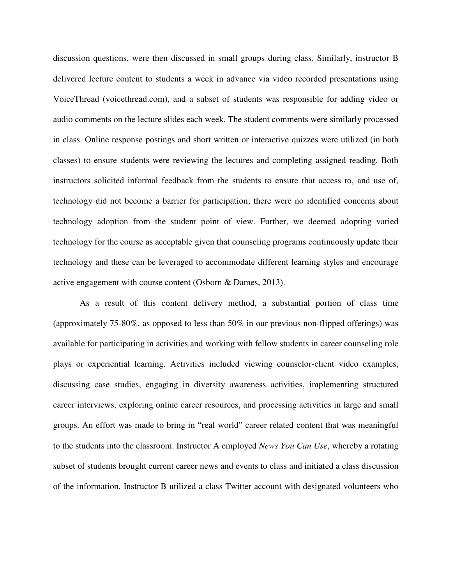discussion questions, were then discussed in small groups during class. Similarly, instructor B delivered lecture content to students a week in advance via video recorded presentations using VoiceThread (voicethread.com), and a subset of students was responsible for adding video or audio comments on the lecture slides each week. The student comments were similarly processed in class. Online response postings and short written or interactive quizzes were utilized (in both classes) to ensure students were reviewing the lectures and completing assigned reading. Both instructors solicited informal feedback from the students to ensure that access to, and use of, technology did not become a barrier for participation; there were no identified concerns about technology adoption from the student point of view. Further, we deemed adopting varied technology for the course as acceptable given that counseling programs continuously update their technology and these can be leveraged to accommodate different learning styles and encourage active engagement with course content (Osborn & Dames, 2013).

As a result of this content delivery method, a substantial portion of class time (approximately 75-80%, as opposed to less than 50% in our previous non-flipped offerings) was available for participating in activities and working with fellow students in career counseling role plays or experiential learning. Activities included viewing counselor-client video examples, discussing case studies, engaging in diversity awareness activities, implementing structured career interviews, exploring online career resources, and processing activities in large and small groups. An effort was made to bring in "real world" career related content that was meaningful to the students into the classroom. Instructor A employed *News You Can Use*, whereby a rotating subset of students brought current career news and events to class and initiated a class discussion of the information. Instructor B utilized a class Twitter account with designated volunteers who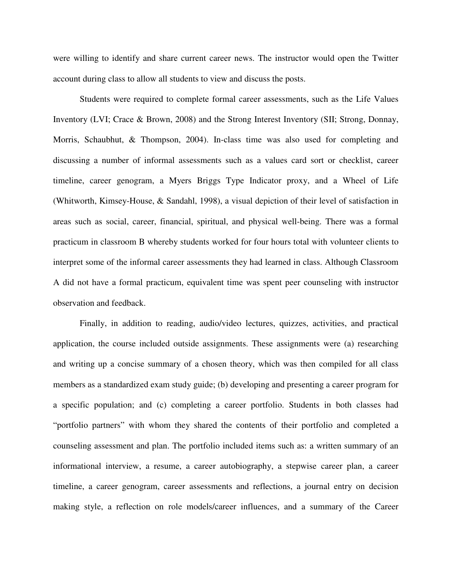were willing to identify and share current career news. The instructor would open the Twitter account during class to allow all students to view and discuss the posts.

Students were required to complete formal career assessments, such as the Life Values Inventory (LVI; Crace & Brown, 2008) and the Strong Interest Inventory (SII; Strong, Donnay, Morris, Schaubhut, & Thompson, 2004). In-class time was also used for completing and discussing a number of informal assessments such as a values card sort or checklist, career timeline, career genogram, a Myers Briggs Type Indicator proxy, and a Wheel of Life (Whitworth, Kimsey-House, & Sandahl, 1998), a visual depiction of their level of satisfaction in areas such as social, career, financial, spiritual, and physical well-being. There was a formal practicum in classroom B whereby students worked for four hours total with volunteer clients to interpret some of the informal career assessments they had learned in class. Although Classroom A did not have a formal practicum, equivalent time was spent peer counseling with instructor observation and feedback.

Finally, in addition to reading, audio/video lectures, quizzes, activities, and practical application, the course included outside assignments. These assignments were (a) researching and writing up a concise summary of a chosen theory, which was then compiled for all class members as a standardized exam study guide; (b) developing and presenting a career program for a specific population; and (c) completing a career portfolio. Students in both classes had "portfolio partners" with whom they shared the contents of their portfolio and completed a counseling assessment and plan. The portfolio included items such as: a written summary of an informational interview, a resume, a career autobiography, a stepwise career plan, a career timeline, a career genogram, career assessments and reflections, a journal entry on decision making style, a reflection on role models/career influences, and a summary of the Career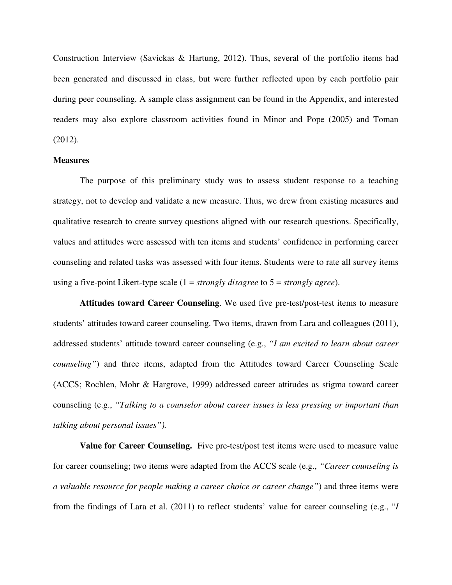Construction Interview (Savickas & Hartung, 2012). Thus, several of the portfolio items had been generated and discussed in class, but were further reflected upon by each portfolio pair during peer counseling. A sample class assignment can be found in the Appendix, and interested readers may also explore classroom activities found in Minor and Pope (2005) and Toman (2012).

#### **Measures**

The purpose of this preliminary study was to assess student response to a teaching strategy, not to develop and validate a new measure. Thus, we drew from existing measures and qualitative research to create survey questions aligned with our research questions. Specifically, values and attitudes were assessed with ten items and students' confidence in performing career counseling and related tasks was assessed with four items. Students were to rate all survey items using a five-point Likert-type scale (1 = *strongly disagree* to 5 = *strongly agree*).

**Attitudes toward Career Counseling**. We used five pre-test/post-test items to measure students' attitudes toward career counseling. Two items, drawn from Lara and colleagues (2011), addressed students' attitude toward career counseling (e.g., *"I am excited to learn about career counseling"*) and three items, adapted from the Attitudes toward Career Counseling Scale (ACCS; Rochlen, Mohr & Hargrove, 1999) addressed career attitudes as stigma toward career counseling (e.g., *"Talking to a counselor about career issues is less pressing or important than talking about personal issues").* 

**Value for Career Counseling.** Five pre-test/post test items were used to measure value for career counseling; two items were adapted from the ACCS scale (e.g., *"Career counseling is a valuable resource for people making a career choice or career change"*) and three items were from the findings of Lara et al. (2011) to reflect students' value for career counseling (e.g., "*I*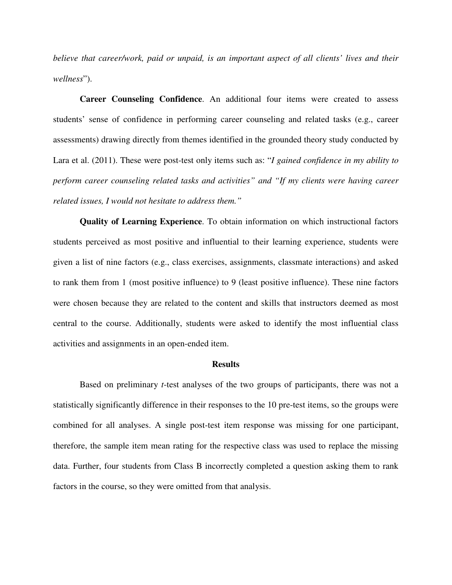*believe that career/work, paid or unpaid, is an important aspect of all clients' lives and their wellness*").

**Career Counseling Confidence**. An additional four items were created to assess students' sense of confidence in performing career counseling and related tasks (e.g., career assessments) drawing directly from themes identified in the grounded theory study conducted by Lara et al. (2011). These were post-test only items such as: "*I gained confidence in my ability to perform career counseling related tasks and activities" and "If my clients were having career related issues, I would not hesitate to address them."*

**Quality of Learning Experience**. To obtain information on which instructional factors students perceived as most positive and influential to their learning experience, students were given a list of nine factors (e.g., class exercises, assignments, classmate interactions) and asked to rank them from 1 (most positive influence) to 9 (least positive influence). These nine factors were chosen because they are related to the content and skills that instructors deemed as most central to the course. Additionally, students were asked to identify the most influential class activities and assignments in an open-ended item.

#### **Results**

Based on preliminary *t*-test analyses of the two groups of participants, there was not a statistically significantly difference in their responses to the 10 pre-test items, so the groups were combined for all analyses. A single post-test item response was missing for one participant, therefore, the sample item mean rating for the respective class was used to replace the missing data. Further, four students from Class B incorrectly completed a question asking them to rank factors in the course, so they were omitted from that analysis.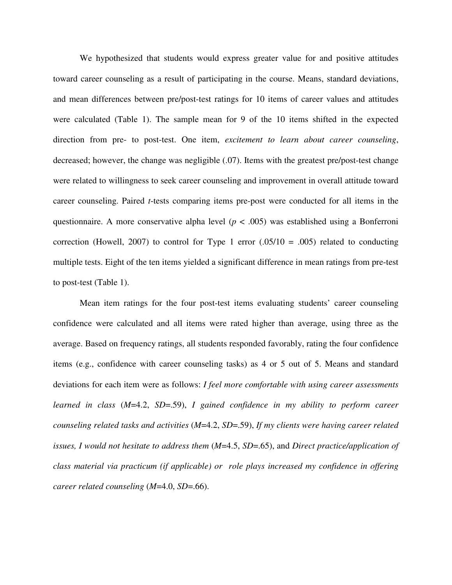We hypothesized that students would express greater value for and positive attitudes toward career counseling as a result of participating in the course. Means, standard deviations, and mean differences between pre/post-test ratings for 10 items of career values and attitudes were calculated (Table 1). The sample mean for 9 of the 10 items shifted in the expected direction from pre- to post-test. One item, *excitement to learn about career counseling*, decreased; however, the change was negligible (.07). Items with the greatest pre/post-test change were related to willingness to seek career counseling and improvement in overall attitude toward career counseling. Paired *t*-tests comparing items pre-post were conducted for all items in the questionnaire. A more conservative alpha level  $(p < .005)$  was established using a Bonferroni correction (Howell, 2007) to control for Type 1 error  $(.05/10 = .005)$  related to conducting multiple tests. Eight of the ten items yielded a significant difference in mean ratings from pre-test to post-test (Table 1).

 Mean item ratings for the four post-test items evaluating students' career counseling confidence were calculated and all items were rated higher than average, using three as the average. Based on frequency ratings, all students responded favorably, rating the four confidence items (e.g., confidence with career counseling tasks) as 4 or 5 out of 5. Means and standard deviations for each item were as follows: *I feel more comfortable with using career assessments learned in class* (*M*=4.2, *SD*=.59), *I gained confidence in my ability to perform career counseling related tasks and activities* (*M*=4.2, *SD*=.59), *If my clients were having career related issues, I would not hesitate to address them* (*M*=4.5, *SD*=.65), and *Direct practice/application of class material via practicum (if applicable) or role plays increased my confidence in offering career related counseling* (*M*=4.0, *SD*=.66).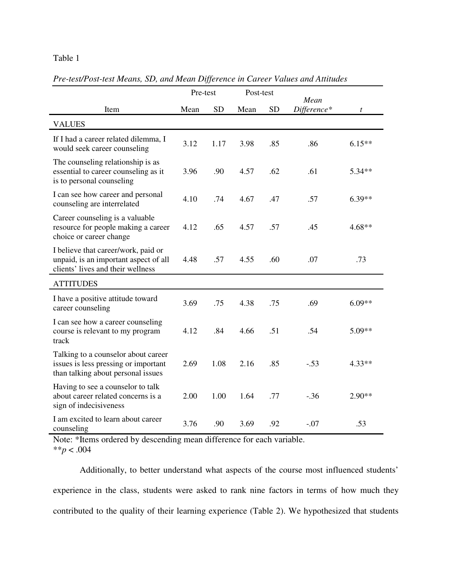# Table 1

|                                                                                                                   | Pre-test |           | Post-test |           |                     |          |
|-------------------------------------------------------------------------------------------------------------------|----------|-----------|-----------|-----------|---------------------|----------|
| Item                                                                                                              | Mean     | <b>SD</b> | Mean      | <b>SD</b> | Mean<br>Difference* | t        |
| <b>VALUES</b>                                                                                                     |          |           |           |           |                     |          |
| If I had a career related dilemma, I<br>would seek career counseling                                              | 3.12     | 1.17      | 3.98      | .85       | .86                 | $6.15**$ |
| The counseling relationship is as<br>essential to career counseling as it<br>is to personal counseling            | 3.96     | .90       | 4.57      | .62       | .61                 | 5.34**   |
| I can see how career and personal<br>counseling are interrelated                                                  | 4.10     | .74       | 4.67      | .47       | .57                 | $6.39**$ |
| Career counseling is a valuable<br>resource for people making a career<br>choice or career change                 | 4.12     | .65       | 4.57      | .57       | .45                 | $4.68**$ |
| I believe that career/work, paid or<br>unpaid, is an important aspect of all<br>clients' lives and their wellness | 4.48     | .57       | 4.55      | .60       | .07                 | .73      |
| <b>ATTITUDES</b>                                                                                                  |          |           |           |           |                     |          |
| I have a positive attitude toward<br>career counseling                                                            | 3.69     | .75       | 4.38      | .75       | .69                 | $6.09**$ |
| I can see how a career counseling<br>course is relevant to my program<br>track                                    | 4.12     | .84       | 4.66      | .51       | .54                 | $5.09**$ |
| Talking to a counselor about career<br>issues is less pressing or important<br>than talking about personal issues | 2.69     | 1.08      | 2.16      | .85       | $-.53$              | $4.33**$ |
| Having to see a counselor to talk<br>about career related concerns is a<br>sign of indecisiveness                 | 2.00     | 1.00      | 1.64      | .77       | $-.36$              | $2.90**$ |
| I am excited to learn about career<br>counseling                                                                  | 3.76     | .90       | 3.69      | .92       | $-.07$              | .53      |

*Pre-test/Post-test Means, SD, and Mean Difference in Career Values and Attitudes*

Note: \*Items ordered by descending mean difference for each variable. \*\**p* < .004

Additionally, to better understand what aspects of the course most influenced students' experience in the class, students were asked to rank nine factors in terms of how much they contributed to the quality of their learning experience (Table 2). We hypothesized that students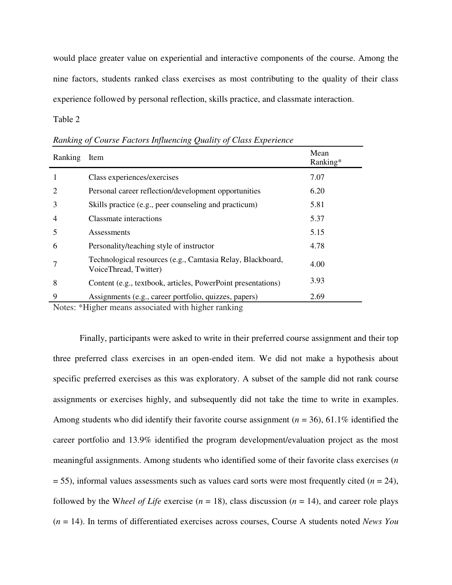would place greater value on experiential and interactive components of the course. Among the nine factors, students ranked class exercises as most contributing to the quality of their class experience followed by personal reflection, skills practice, and classmate interaction.

Table 2

| Ranking        | Item                                                                                | Mean<br>Ranking* |
|----------------|-------------------------------------------------------------------------------------|------------------|
| 1              | Class experiences/exercises                                                         | 7.07             |
| 2              | Personal career reflection/development opportunities                                | 6.20             |
| 3              | Skills practice (e.g., peer counseling and practicum)                               | 5.81             |
| $\overline{4}$ | Classmate interactions                                                              | 5.37             |
| 5              | Assessments                                                                         | 5.15             |
| 6              | Personality/teaching style of instructor                                            | 4.78             |
|                | Technological resources (e.g., Camtasia Relay, Blackboard,<br>VoiceThread, Twitter) | 4.00             |
| 8              | Content (e.g., textbook, articles, PowerPoint presentations)                        | 3.93             |
| 9              | Assignments (e.g., career portfolio, quizzes, papers)                               | 2.69             |

*Ranking of Course Factors Influencing Quality of Class Experience* 

Notes: \*Higher means associated with higher ranking

Finally, participants were asked to write in their preferred course assignment and their top three preferred class exercises in an open-ended item. We did not make a hypothesis about specific preferred exercises as this was exploratory. A subset of the sample did not rank course assignments or exercises highly, and subsequently did not take the time to write in examples. Among students who did identify their favorite course assignment (*n* = 36), 61.1% identified the career portfolio and 13.9% identified the program development/evaluation project as the most meaningful assignments. Among students who identified some of their favorite class exercises (*n*   $=$  55), informal values assessments such as values card sorts were most frequently cited ( $n = 24$ ), followed by the Wheel of Life exercise ( $n = 18$ ), class discussion ( $n = 14$ ), and career role plays (*n* = 14). In terms of differentiated exercises across courses, Course A students noted *News You*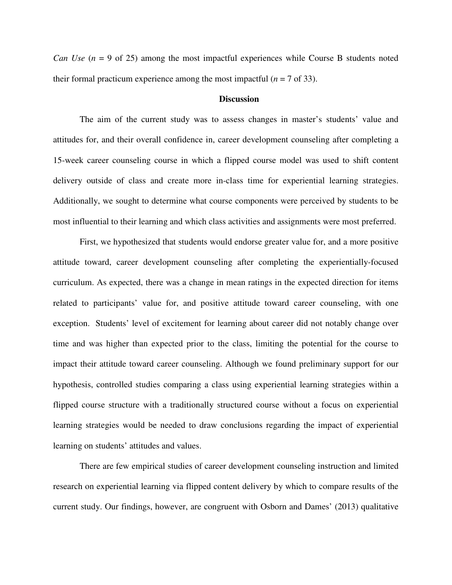*Can Use*  $(n = 9$  of 25) among the most impactful experiences while Course B students noted their formal practicum experience among the most impactful  $(n = 7 \text{ of } 33)$ .

#### **Discussion**

The aim of the current study was to assess changes in master's students' value and attitudes for, and their overall confidence in, career development counseling after completing a 15-week career counseling course in which a flipped course model was used to shift content delivery outside of class and create more in-class time for experiential learning strategies. Additionally, we sought to determine what course components were perceived by students to be most influential to their learning and which class activities and assignments were most preferred.

First, we hypothesized that students would endorse greater value for, and a more positive attitude toward, career development counseling after completing the experientially-focused curriculum. As expected, there was a change in mean ratings in the expected direction for items related to participants' value for, and positive attitude toward career counseling, with one exception. Students' level of excitement for learning about career did not notably change over time and was higher than expected prior to the class, limiting the potential for the course to impact their attitude toward career counseling. Although we found preliminary support for our hypothesis, controlled studies comparing a class using experiential learning strategies within a flipped course structure with a traditionally structured course without a focus on experiential learning strategies would be needed to draw conclusions regarding the impact of experiential learning on students' attitudes and values.

There are few empirical studies of career development counseling instruction and limited research on experiential learning via flipped content delivery by which to compare results of the current study. Our findings, however, are congruent with Osborn and Dames' (2013) qualitative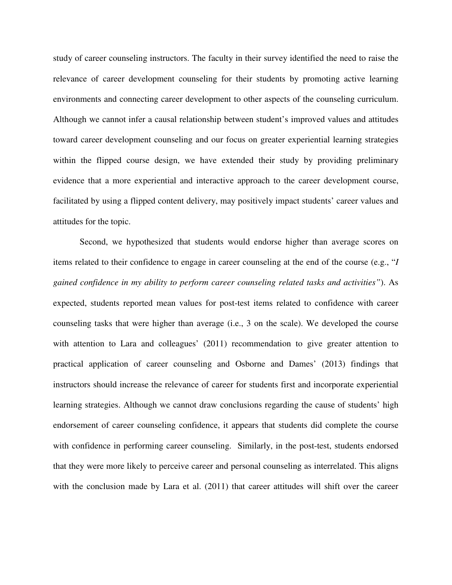study of career counseling instructors. The faculty in their survey identified the need to raise the relevance of career development counseling for their students by promoting active learning environments and connecting career development to other aspects of the counseling curriculum. Although we cannot infer a causal relationship between student's improved values and attitudes toward career development counseling and our focus on greater experiential learning strategies within the flipped course design, we have extended their study by providing preliminary evidence that a more experiential and interactive approach to the career development course, facilitated by using a flipped content delivery, may positively impact students' career values and attitudes for the topic.

Second, we hypothesized that students would endorse higher than average scores on items related to their confidence to engage in career counseling at the end of the course (e.g., "*I gained confidence in my ability to perform career counseling related tasks and activities"*). As expected, students reported mean values for post-test items related to confidence with career counseling tasks that were higher than average (i.e., 3 on the scale). We developed the course with attention to Lara and colleagues' (2011) recommendation to give greater attention to practical application of career counseling and Osborne and Dames' (2013) findings that instructors should increase the relevance of career for students first and incorporate experiential learning strategies. Although we cannot draw conclusions regarding the cause of students' high endorsement of career counseling confidence, it appears that students did complete the course with confidence in performing career counseling. Similarly, in the post-test, students endorsed that they were more likely to perceive career and personal counseling as interrelated. This aligns with the conclusion made by Lara et al. (2011) that career attitudes will shift over the career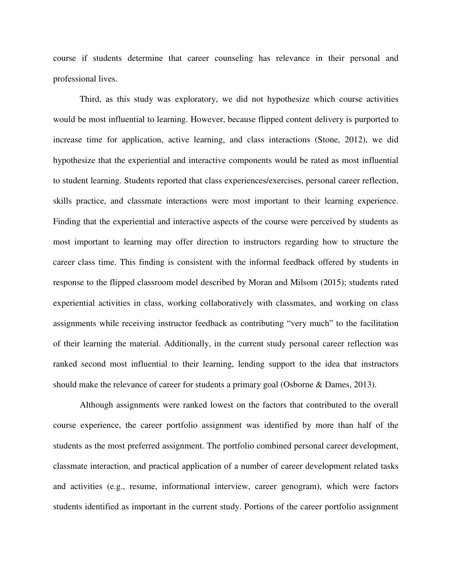course if students determine that career counseling has relevance in their personal and professional lives.

Third, as this study was exploratory, we did not hypothesize which course activities would be most influential to learning. However, because flipped content delivery is purported to increase time for application, active learning, and class interactions (Stone, 2012), we did hypothesize that the experiential and interactive components would be rated as most influential to student learning. Students reported that class experiences/exercises, personal career reflection, skills practice, and classmate interactions were most important to their learning experience. Finding that the experiential and interactive aspects of the course were perceived by students as most important to learning may offer direction to instructors regarding how to structure the career class time. This finding is consistent with the informal feedback offered by students in response to the flipped classroom model described by Moran and Milsom (2015); students rated experiential activities in class, working collaboratively with classmates, and working on class assignments while receiving instructor feedback as contributing "very much" to the facilitation of their learning the material. Additionally, in the current study personal career reflection was ranked second most influential to their learning, lending support to the idea that instructors should make the relevance of career for students a primary goal (Osborne & Dames, 2013).

Although assignments were ranked lowest on the factors that contributed to the overall course experience, the career portfolio assignment was identified by more than half of the students as the most preferred assignment. The portfolio combined personal career development, classmate interaction, and practical application of a number of career development related tasks and activities (e.g., resume, informational interview, career genogram), which were factors students identified as important in the current study. Portions of the career portfolio assignment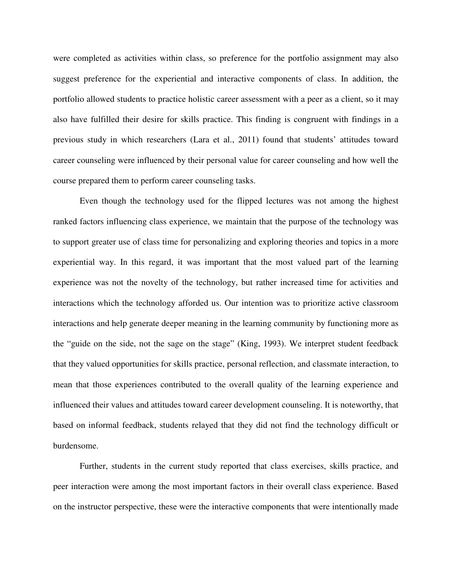were completed as activities within class, so preference for the portfolio assignment may also suggest preference for the experiential and interactive components of class. In addition, the portfolio allowed students to practice holistic career assessment with a peer as a client, so it may also have fulfilled their desire for skills practice. This finding is congruent with findings in a previous study in which researchers (Lara et al., 2011) found that students' attitudes toward career counseling were influenced by their personal value for career counseling and how well the course prepared them to perform career counseling tasks.

Even though the technology used for the flipped lectures was not among the highest ranked factors influencing class experience, we maintain that the purpose of the technology was to support greater use of class time for personalizing and exploring theories and topics in a more experiential way. In this regard, it was important that the most valued part of the learning experience was not the novelty of the technology, but rather increased time for activities and interactions which the technology afforded us. Our intention was to prioritize active classroom interactions and help generate deeper meaning in the learning community by functioning more as the "guide on the side, not the sage on the stage" (King, 1993). We interpret student feedback that they valued opportunities for skills practice, personal reflection, and classmate interaction, to mean that those experiences contributed to the overall quality of the learning experience and influenced their values and attitudes toward career development counseling. It is noteworthy, that based on informal feedback, students relayed that they did not find the technology difficult or burdensome.

Further, students in the current study reported that class exercises, skills practice, and peer interaction were among the most important factors in their overall class experience. Based on the instructor perspective, these were the interactive components that were intentionally made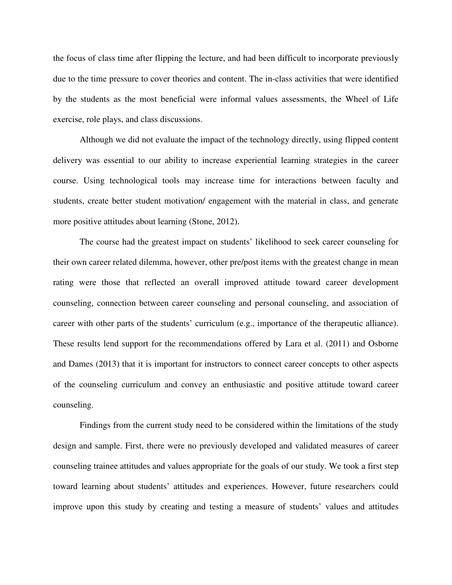the focus of class time after flipping the lecture, and had been difficult to incorporate previously due to the time pressure to cover theories and content. The in-class activities that were identified by the students as the most beneficial were informal values assessments, the Wheel of Life exercise, role plays, and class discussions.

Although we did not evaluate the impact of the technology directly, using flipped content delivery was essential to our ability to increase experiential learning strategies in the career course. Using technological tools may increase time for interactions between faculty and students, create better student motivation/ engagement with the material in class, and generate more positive attitudes about learning (Stone, 2012).

The course had the greatest impact on students' likelihood to seek career counseling for their own career related dilemma, however, other pre/post items with the greatest change in mean rating were those that reflected an overall improved attitude toward career development counseling, connection between career counseling and personal counseling, and association of career with other parts of the students' curriculum (e.g., importance of the therapeutic alliance). These results lend support for the recommendations offered by Lara et al. (2011) and Osborne and Dames (2013) that it is important for instructors to connect career concepts to other aspects of the counseling curriculum and convey an enthusiastic and positive attitude toward career counseling.

Findings from the current study need to be considered within the limitations of the study design and sample. First, there were no previously developed and validated measures of career counseling trainee attitudes and values appropriate for the goals of our study. We took a first step toward learning about students' attitudes and experiences. However, future researchers could improve upon this study by creating and testing a measure of students' values and attitudes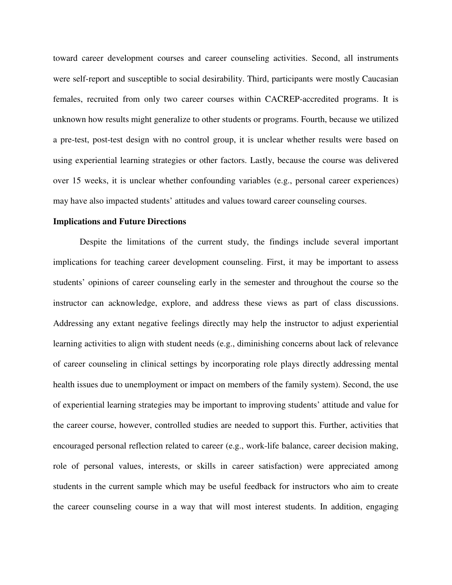toward career development courses and career counseling activities. Second, all instruments were self-report and susceptible to social desirability. Third, participants were mostly Caucasian females, recruited from only two career courses within CACREP-accredited programs. It is unknown how results might generalize to other students or programs. Fourth, because we utilized a pre-test, post-test design with no control group, it is unclear whether results were based on using experiential learning strategies or other factors. Lastly, because the course was delivered over 15 weeks, it is unclear whether confounding variables (e.g., personal career experiences) may have also impacted students' attitudes and values toward career counseling courses.

#### **Implications and Future Directions**

Despite the limitations of the current study, the findings include several important implications for teaching career development counseling. First, it may be important to assess students' opinions of career counseling early in the semester and throughout the course so the instructor can acknowledge, explore, and address these views as part of class discussions. Addressing any extant negative feelings directly may help the instructor to adjust experiential learning activities to align with student needs (e.g., diminishing concerns about lack of relevance of career counseling in clinical settings by incorporating role plays directly addressing mental health issues due to unemployment or impact on members of the family system). Second, the use of experiential learning strategies may be important to improving students' attitude and value for the career course, however, controlled studies are needed to support this. Further, activities that encouraged personal reflection related to career (e.g., work-life balance, career decision making, role of personal values, interests, or skills in career satisfaction) were appreciated among students in the current sample which may be useful feedback for instructors who aim to create the career counseling course in a way that will most interest students. In addition, engaging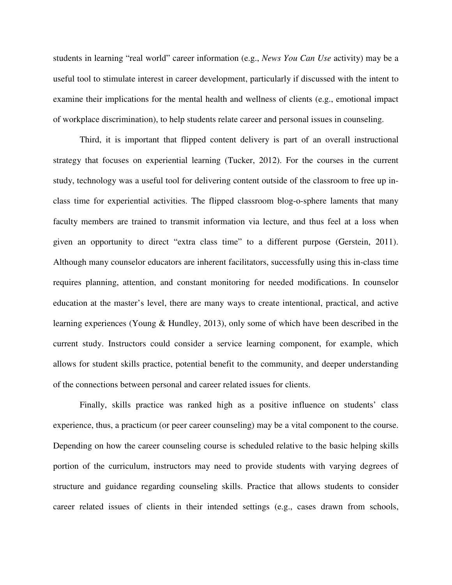students in learning "real world" career information (e.g., *News You Can Use* activity) may be a useful tool to stimulate interest in career development, particularly if discussed with the intent to examine their implications for the mental health and wellness of clients (e.g., emotional impact of workplace discrimination), to help students relate career and personal issues in counseling.

Third, it is important that flipped content delivery is part of an overall instructional strategy that focuses on experiential learning (Tucker, 2012). For the courses in the current study, technology was a useful tool for delivering content outside of the classroom to free up inclass time for experiential activities. The flipped classroom blog-o-sphere laments that many faculty members are trained to transmit information via lecture, and thus feel at a loss when given an opportunity to direct "extra class time" to a different purpose (Gerstein, 2011). Although many counselor educators are inherent facilitators, successfully using this in-class time requires planning, attention, and constant monitoring for needed modifications. In counselor education at the master's level, there are many ways to create intentional, practical, and active learning experiences (Young & Hundley, 2013), only some of which have been described in the current study. Instructors could consider a service learning component, for example, which allows for student skills practice, potential benefit to the community, and deeper understanding of the connections between personal and career related issues for clients.

Finally, skills practice was ranked high as a positive influence on students' class experience, thus, a practicum (or peer career counseling) may be a vital component to the course. Depending on how the career counseling course is scheduled relative to the basic helping skills portion of the curriculum, instructors may need to provide students with varying degrees of structure and guidance regarding counseling skills. Practice that allows students to consider career related issues of clients in their intended settings (e.g., cases drawn from schools,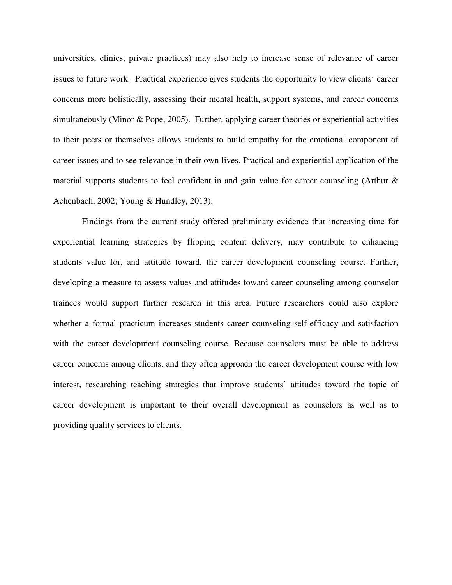universities, clinics, private practices) may also help to increase sense of relevance of career issues to future work. Practical experience gives students the opportunity to view clients' career concerns more holistically, assessing their mental health, support systems, and career concerns simultaneously (Minor & Pope, 2005). Further, applying career theories or experiential activities to their peers or themselves allows students to build empathy for the emotional component of career issues and to see relevance in their own lives. Practical and experiential application of the material supports students to feel confident in and gain value for career counseling (Arthur & Achenbach, 2002; Young & Hundley, 2013).

 Findings from the current study offered preliminary evidence that increasing time for experiential learning strategies by flipping content delivery, may contribute to enhancing students value for, and attitude toward, the career development counseling course. Further, developing a measure to assess values and attitudes toward career counseling among counselor trainees would support further research in this area. Future researchers could also explore whether a formal practicum increases students career counseling self-efficacy and satisfaction with the career development counseling course. Because counselors must be able to address career concerns among clients, and they often approach the career development course with low interest, researching teaching strategies that improve students' attitudes toward the topic of career development is important to their overall development as counselors as well as to providing quality services to clients.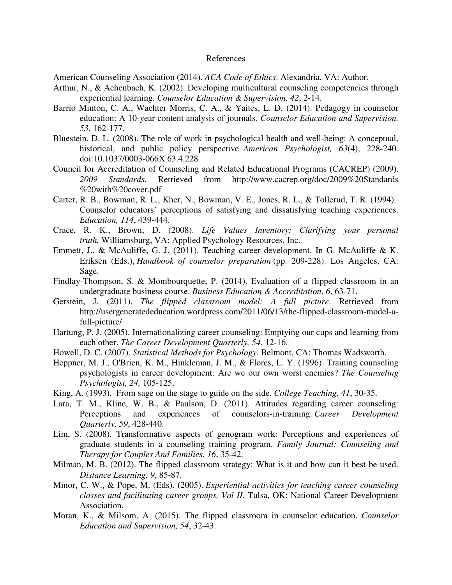#### References

American Counseling Association (2014). *ACA Code of Ethics*. Alexandria, VA: Author.

- Arthur, N., & Achenbach, K. (2002). Developing multicultural counseling competencies through experiential learning. *Counselor Education & Supervision, 42*, 2-14.
- Barrio Minton, C. A., Wachter Morris, C. A., & Yaites, L. D. (2014). Pedagogy in counselor education: A 10-year content analysis of journals. *Counselor Education and Supervision, 53*, 162-177.
- Bluestein, D. L. (2008). The role of work in psychological health and well-being: A conceptual, historical, and public policy perspective. *American Psychologist, 63*(4), 228-240. doi:10.1037/0003-066X.63.4.228
- Council for Accreditation of Counseling and Related Educational Programs (CACREP) (2009). *2009 Standards*. Retrieved from http://www.cacrep.org/doc/2009%20Standards %20with%20cover.pdf
- Carter, R. B., Bowman, R. L., Kher, N., Bowman, V. E., Jones, R. L., & Tollerud, T. R. (1994). Counselor educators' perceptions of satisfying and dissatisfying teaching experiences. *Education, 114*, 439-444.
- Crace, R. K., Brown, D. (2008). *Life Values Inventory: Clarifying your personal truth.* Williamsburg, VA: Applied Psychology Resources, Inc.
- Emmett, J., & McAuliffe, G. J. (2011). Teaching career development. In G. McAuliffe & K. Eriksen (Eds.), *Handbook of counselor preparation* (pp. 209-228). Los Angeles, CA: Sage.
- Findlay-Thompson, S. & Mombourquette, P. (2014). Evaluation of a flipped classroom in an undergraduate business course. *Business Education & Accreditation, 6*, 63-71.
- Gerstein, J. (2011). *The flipped classroom model: A full picture*. Retrieved from http://usergeneratededucation.wordpress.com/2011/06/13/the-flipped-classroom-model-afull-picture/
- Hartung, P. J. (2005). Internationalizing career counseling: Emptying our cups and learning from each other. *The Career Development Quarterly, 54*, 12-16.
- Howell, D. C. (2007). *Statistical Methods for Psychology.* Belmont, CA: Thomas Wadsworth.
- Heppner, M. J., O'Brien, K. M., Hinkleman, J. M., & Flores, L. Y. (1996). Training counseling psychologists in career development: Are we our own worst enemies? *The Counseling Psychologist, 24,* 105-125.
- King, A. (1993). From sage on the stage to guide on the side. *College Teaching, 41*, 30-35.
- Lara, T. M., Kline, W. B., & Paulson, D. (2011). Attitudes regarding career counseling: Perceptions and experiences of counselors-in-training. *Career Development Quarterly, 59*, 428-440.
- Lim, S. (2008). Transformative aspects of genogram work: Perceptions and experiences of graduate students in a counseling training program. *Family Journal: Counseling and Therapy for Couples And Families*, *16*, 35-42.
- Milman, M. B. (2012). The flipped classroom strategy: What is it and how can it best be used. *Distance Learning, 9*, 85-87.
- Minor, C. W., & Pope, M. (Eds). (2005). *Experiential activities for teaching career counseling classes and facilitating career groups, Vol II*. Tulsa, OK: National Career Development Association.
- Moran, K., & Milsom, A. (2015). The flipped classroom in counselor education. *Counselor Education and Supervision, 54*, 32-43.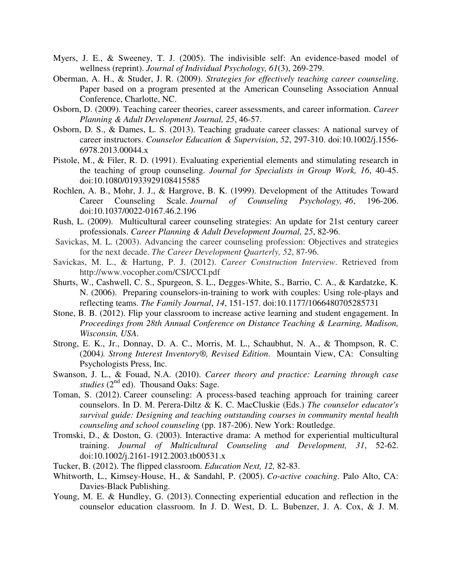- Myers, J. E., & Sweeney, T. J. (2005). The indivisible self: An evidence-based model of wellness (reprint). *Journal of Individual Psychology, 61*(3), 269-279.
- Oberman, A. H., & Studer, J. R. (2009). *Strategies for effectively teaching career counseling*. Paper based on a program presented at the American Counseling Association Annual Conference, Charlotte, NC.
- Osborn, D. (2009). Teaching career theories, career assessments, and career information. *Career Planning & Adult Development Journal, 25*, 46-57.
- Osborn, D. S., & Dames, L. S. (2013). Teaching graduate career classes: A national survey of career instructors. *Counselor Education & Supervision*, *52*, 297-310. doi:10.1002/j.1556- 6978.2013.00044.x
- Pistole, M., & Filer, R. D. (1991). Evaluating experiential elements and stimulating research in the teaching of group counseling. *Journal for Specialists in Group Work, 16*, 40-45. doi:10.1080/01933929108415585
- Rochlen, A. B., Mohr, J. J., & Hargrove, B. K. (1999). Development of the Attitudes Toward Career Counseling Scale. *Journal of Counseling Psychology, 46*, 196-206. doi:10.1037/0022-0167.46.2.196
- Rush, L. (2009). Multicultural career counseling strategies: An update for 21st century career professionals. *Career Planning & Adult Development Journal, 25*, 82-96.
- Savickas, M. L. (2003). Advancing the career counseling profession: Objectives and strategies for the next decade. *The Career Development Quarterly, 52*, 87-96.
- Savickas, M. L., & Hartung, P. J. (2012). *Career Construction Interview*. Retrieved from http://www.vocopher.com/CSI/CCI.pdf
- Shurts, W., Cashwell, C. S., Spurgeon, S. L., Degges-White, S., Barrio, C. A., & Kardatzke, K. N. (2006). Preparing counselors-in-training to work with couples: Using role-plays and reflecting teams. *The Family Journal*, *14*, 151-157. doi:10.1177/1066480705285731
- Stone, B. B. (2012). Flip your classroom to increase active learning and student engagement. In *Proceedings from 28th Annual Conference on Distance Teaching & Learning, Madison, Wisconsin, USA*.
- Strong, E. K., Jr., Donnay, D. A. C., Morris, M. L., Schaubhut, N. A., & Thompson, R. C. (2004*). Strong Interest Inventory®, Revised Edition*. Mountain View, CA: Consulting Psychologists Press, Inc.
- Swanson, J. L., & Fouad, N.A. (2010). *Career theory and practice: Learning through case studies* (2<sup>nd</sup> ed). Thousand Oaks: Sage.
- Toman, S. (2012). Career counseling: A process-based teaching approach for training career counselors. In D. M. Perera-Diltz & K. C. MacCluskie (Eds.) *The counselor educator's survival guide: Designing and teaching outstanding courses in community mental health counseling and school counseling* (pp. 187-206). New York: Routledge.
- Tromski, D., & Doston, G. (2003). Interactive drama: A method for experiential multicultural training. *Journal of Multicultural Counseling and Development, 31*, 52-62. doi:10.1002/j.2161-1912.2003.tb00531.x
- Tucker, B. (2012). The flipped classroom. *Education Next, 12,* 82-83.
- Whitworth, L., Kimsey-House, H., & Sandahl, P. (2005). *Co-active coaching*. Palo Alto, CA: Davies-Black Publishing.
- Young, M. E. & Hundley, G. (2013). Connecting experiential education and reflection in the counselor education classroom. In J. D. West, D. L. Bubenzer, J. A. Cox, & J. M.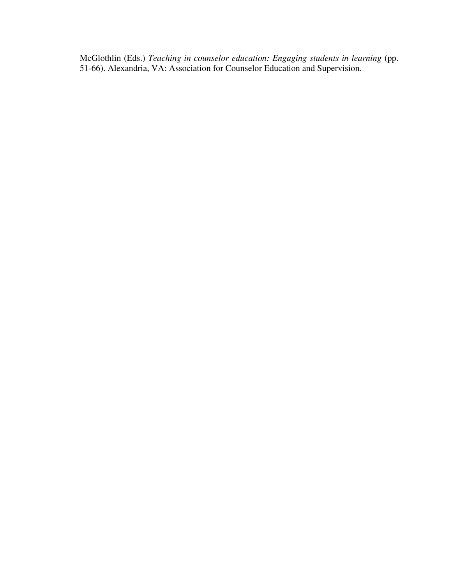McGlothlin (Eds.) *Teaching in counselor education: Engaging students in learning* (pp. 51-66). Alexandria, VA: Association for Counselor Education and Supervision.